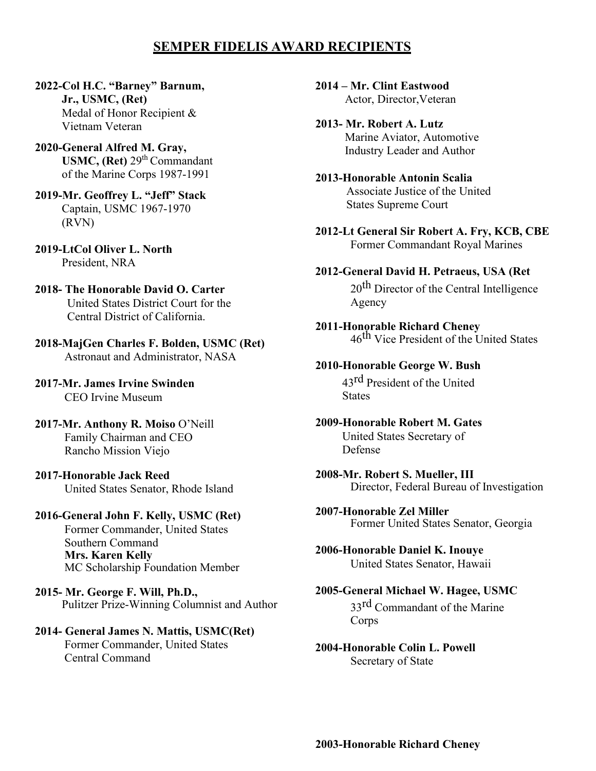# **SEMPER FIDELIS AWARD RECIPIENTS**

- **2022-Col H.C. "Barney" Barnum, Jr., USMC, (Ret)** Medal of Honor Recipient & Vietnam Veteran
- **2020-General Alfred M. Gray, USMC, (Ret)** 29<sup>th</sup> Commandant of the Marine Corps 1987-1991
- **2019-Mr. Geoffrey L. "Jeff" Stack**  Captain, USMC 1967-1970 (RVN)
- **2019-LtCol Oliver L. North**  President, NRA
- **2018- The Honorable David O. Carter**  United States District Court for the Central District of California.
- **2018-MajGen Charles F. Bolden, USMC (Ret)**  Astronaut and Administrator, NASA
- **2017-Mr. James Irvine Swinden**  CEO Irvine Museum
- **2017-Mr. Anthony R. Moiso** O'Neill Family Chairman and CEO Rancho Mission Viejo
- **2017-Honorable Jack Reed**  United States Senator, Rhode Island
- **2016-General John F. Kelly, USMC (Ret)** Former Commander, United States Southern Command **Mrs. Karen Kelly** MC Scholarship Foundation Member
- **2015- Mr. George F. Will, Ph.D.,**  Pulitzer Prize-Winning Columnist and Author

#### **2014- General James N. Mattis, USMC(Ret)** Former Commander, United States Central Command

**2014 – Mr. Clint Eastwood**  Actor, Director,Veteran

- **2013- Mr. Robert A. Lutz**  Marine Aviator, Automotive Industry Leader and Author
- **2013-Honorable Antonin Scalia**  Associate Justice of the United States Supreme Court
- **2012-Lt General Sir Robert A. Fry, KCB, CBE**  Former Commandant Royal Marines

#### **2012-General David H. Petraeus, USA (Ret**

20<sup>th</sup> Director of the Central Intelligence Agency

- **2011-Honorable Richard Cheney**  46th Vice President of the United States
- **2010-Honorable George W. Bush**

43rd President of the United **States** 

- **2009-Honorable Robert M. Gates**  United States Secretary of Defense
- **2008-Mr. Robert S. Mueller, III**  Director, Federal Bureau of Investigation
- **2007-Honorable Zel Miller**  Former United States Senator, Georgia

**2006-Honorable Daniel K. Inouye**  United States Senator, Hawaii

## **2005-General Michael W. Hagee, USMC** 33rd Commandant of the Marine

Corps

**2004-Honorable Colin L. Powell**  Secretary of State